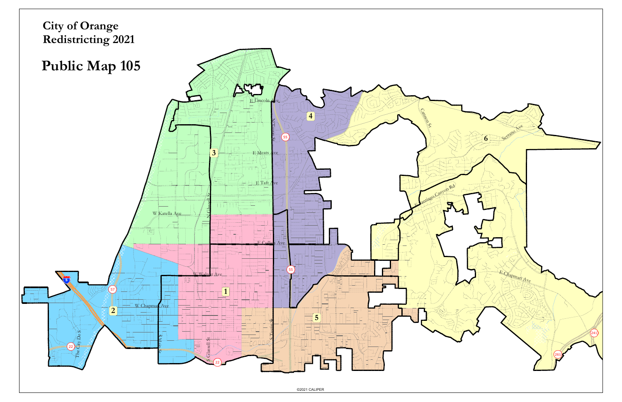